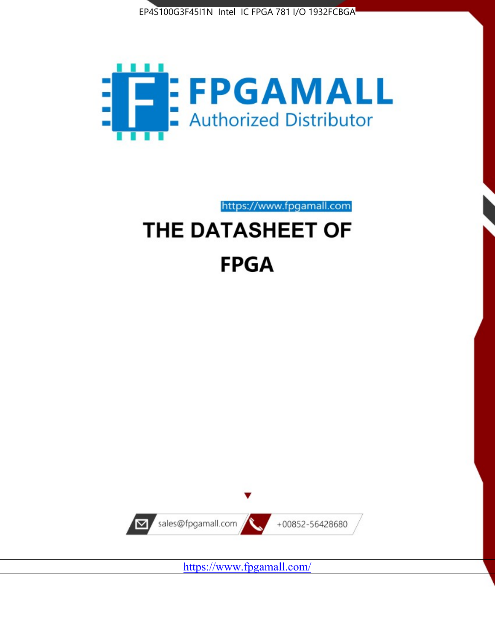



https://www.fpgamall.com

# THE DATASHEET OF **FPGA**



<https://www.fpgamall.com/>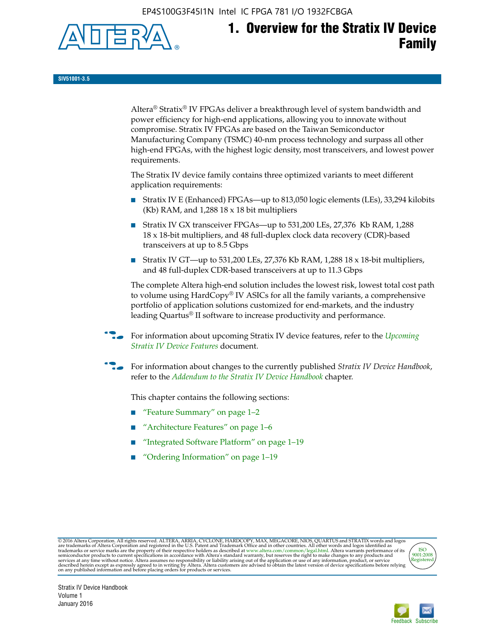EP4S100G3F45I1N Intel IC FPGA 781 I/O 1932FCBGA



# **1. Overview for the Stratix IV Device Family**

**SIV51001-3.5**

Altera® Stratix® IV FPGAs deliver a breakthrough level of system bandwidth and power efficiency for high-end applications, allowing you to innovate without compromise. Stratix IV FPGAs are based on the Taiwan Semiconductor Manufacturing Company (TSMC) 40-nm process technology and surpass all other high-end FPGAs, with the highest logic density, most transceivers, and lowest power requirements.

The Stratix IV device family contains three optimized variants to meet different application requirements:

- Stratix IV E (Enhanced) FPGAs—up to 813,050 logic elements (LEs), 33,294 kilobits (Kb) RAM, and 1,288 18 x 18 bit multipliers
- Stratix IV GX transceiver FPGAs—up to 531,200 LEs, 27,376 Kb RAM, 1,288 18 x 18-bit multipliers, and 48 full-duplex clock data recovery (CDR)-based transceivers at up to 8.5 Gbps
- Stratix IV GT—up to 531,200 LEs, 27,376 Kb RAM, 1,288 18 x 18-bit multipliers, and 48 full-duplex CDR-based transceivers at up to 11.3 Gbps

The complete Altera high-end solution includes the lowest risk, lowest total cost path to volume using HardCopy® IV ASICs for all the family variants, a comprehensive portfolio of application solutions customized for end-markets, and the industry leading Quartus® II software to increase productivity and performance.

f For information about upcoming Stratix IV device features, refer to the *[Upcoming](http://www.altera.com/literature/hb/stratix-iv/uf01001.pdf?GSA_pos=2&WT.oss_r=1&WT.oss=upcoming)  [Stratix IV Device Features](http://www.altera.com/literature/hb/stratix-iv/uf01001.pdf?GSA_pos=2&WT.oss_r=1&WT.oss=upcoming)* document.

f For information about changes to the currently published *Stratix IV Device Handbook*, refer to the *[Addendum to the Stratix IV Device Handbook](http://www.altera.com/literature/hb/stratix-iv/stx4_siv54002.pdf)* chapter.

This chapter contains the following sections:

- "Feature Summary" on page 1–2
- "Architecture Features" on page 1–6
- "Integrated Software Platform" on page 1–19
- "Ordering Information" on page 1–19

@2016 Altera Corporation. All rights reserved. ALTERA, ARRIA, CYCLONE, HARDCOPY, MAX, MEGACORE, NIOS, QUARTUS and STRATIX words and logos are trademarks of Altera Corporation and registered in the U.S. Patent and Trademark



Stratix IV Device Handbook Volume 1 January 2016

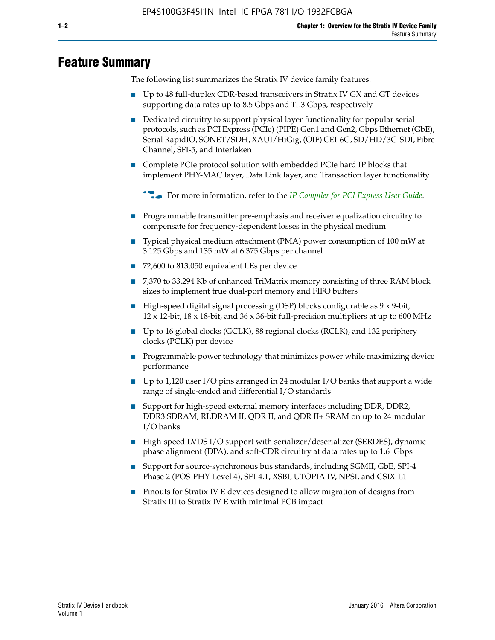# **Feature Summary**

The following list summarizes the Stratix IV device family features:

- Up to 48 full-duplex CDR-based transceivers in Stratix IV GX and GT devices supporting data rates up to 8.5 Gbps and 11.3 Gbps, respectively
- Dedicated circuitry to support physical layer functionality for popular serial protocols, such as PCI Express (PCIe) (PIPE) Gen1 and Gen2, Gbps Ethernet (GbE), Serial RapidIO, SONET/SDH, XAUI/HiGig, (OIF) CEI-6G, SD/HD/3G-SDI, Fibre Channel, SFI-5, and Interlaken
- Complete PCIe protocol solution with embedded PCIe hard IP blocks that implement PHY-MAC layer, Data Link layer, and Transaction layer functionality

**For more information, refer to the** *[IP Compiler for PCI Express User Guide](http://www.altera.com/literature/ug/ug_pci_express.pdf)***.** 

- Programmable transmitter pre-emphasis and receiver equalization circuitry to compensate for frequency-dependent losses in the physical medium
- Typical physical medium attachment (PMA) power consumption of 100 mW at 3.125 Gbps and 135 mW at 6.375 Gbps per channel
- 72,600 to 813,050 equivalent LEs per device
- 7,370 to 33,294 Kb of enhanced TriMatrix memory consisting of three RAM block sizes to implement true dual-port memory and FIFO buffers
- High-speed digital signal processing (DSP) blocks configurable as 9 x 9-bit,  $12 \times 12$ -bit,  $18 \times 18$ -bit, and  $36 \times 36$ -bit full-precision multipliers at up to 600 MHz
- Up to 16 global clocks (GCLK), 88 regional clocks (RCLK), and 132 periphery clocks (PCLK) per device
- Programmable power technology that minimizes power while maximizing device performance
- Up to 1,120 user I/O pins arranged in 24 modular I/O banks that support a wide range of single-ended and differential I/O standards
- Support for high-speed external memory interfaces including DDR, DDR2, DDR3 SDRAM, RLDRAM II, QDR II, and QDR II+ SRAM on up to 24 modular I/O banks
- High-speed LVDS I/O support with serializer/deserializer (SERDES), dynamic phase alignment (DPA), and soft-CDR circuitry at data rates up to 1.6 Gbps
- Support for source-synchronous bus standards, including SGMII, GbE, SPI-4 Phase 2 (POS-PHY Level 4), SFI-4.1, XSBI, UTOPIA IV, NPSI, and CSIX-L1
- Pinouts for Stratix IV E devices designed to allow migration of designs from Stratix III to Stratix IV E with minimal PCB impact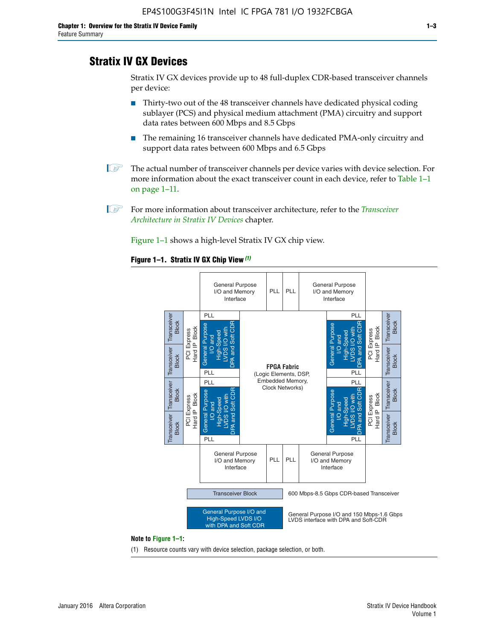# **Stratix IV GX Devices**

Stratix IV GX devices provide up to 48 full-duplex CDR-based transceiver channels per device:

- Thirty-two out of the 48 transceiver channels have dedicated physical coding sublayer (PCS) and physical medium attachment (PMA) circuitry and support data rates between 600 Mbps and 8.5 Gbps
- The remaining 16 transceiver channels have dedicated PMA-only circuitry and support data rates between 600 Mbps and 6.5 Gbps
- **1 The actual number of transceiver channels per device varies with device selection. For** more information about the exact transceiver count in each device, refer to Table 1–1 on page 1–11.
- 1 For more information about transceiver architecture, refer to the *[Transceiver](http://www.altera.com/literature/hb/stratix-iv/stx4_siv52001.pdf)  [Architecture in Stratix IV Devices](http://www.altera.com/literature/hb/stratix-iv/stx4_siv52001.pdf)* chapter.

Figure 1–1 shows a high-level Stratix IV GX chip view.

#### **Figure 1–1. Stratix IV GX Chip View** *(1)*



#### **Note to Figure 1–1:**

(1) Resource counts vary with device selection, package selection, or both.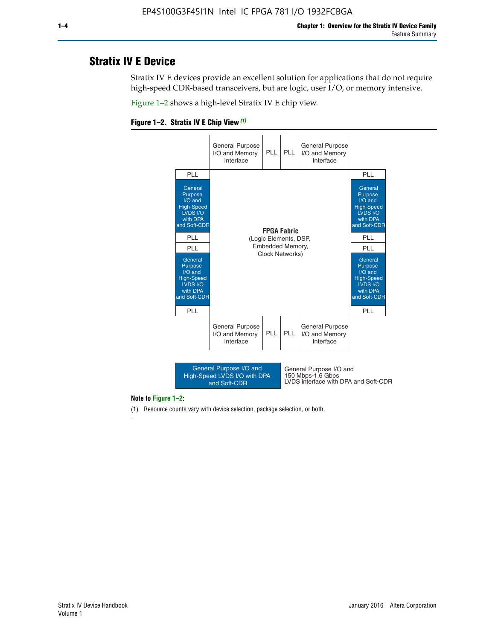# **Stratix IV E Device**

Stratix IV E devices provide an excellent solution for applications that do not require high-speed CDR-based transceivers, but are logic, user I/O, or memory intensive.

Figure 1–2 shows a high-level Stratix IV E chip view.





#### **Note to Figure 1–2:**

(1) Resource counts vary with device selection, package selection, or both.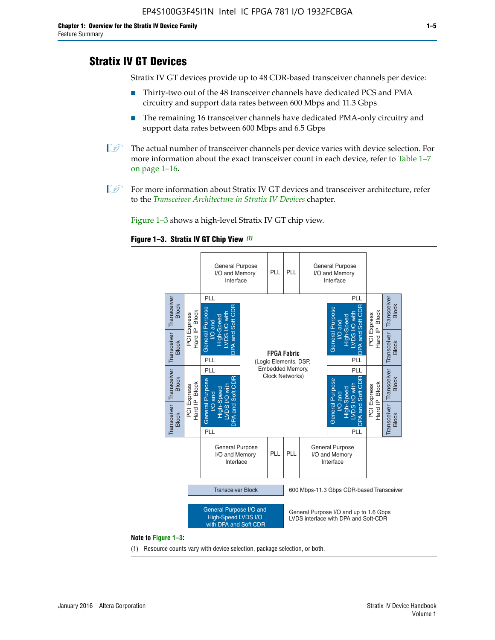# **Stratix IV GT Devices**

Stratix IV GT devices provide up to 48 CDR-based transceiver channels per device:

- Thirty-two out of the 48 transceiver channels have dedicated PCS and PMA circuitry and support data rates between 600 Mbps and 11.3 Gbps
- The remaining 16 transceiver channels have dedicated PMA-only circuitry and support data rates between 600 Mbps and 6.5 Gbps
- **1** The actual number of transceiver channels per device varies with device selection. For more information about the exact transceiver count in each device, refer to Table 1–7 on page 1–16.
- $\mathbb{I}$  For more information about Stratix IV GT devices and transceiver architecture, refer to the *[Transceiver Architecture in Stratix IV Devices](http://www.altera.com/literature/hb/stratix-iv/stx4_siv52001.pdf)* chapter.

Figure 1–3 shows a high-level Stratix IV GT chip view.

#### **Figure 1–3. Stratix IV GT Chip View** *(1)*



(1) Resource counts vary with device selection, package selection, or both.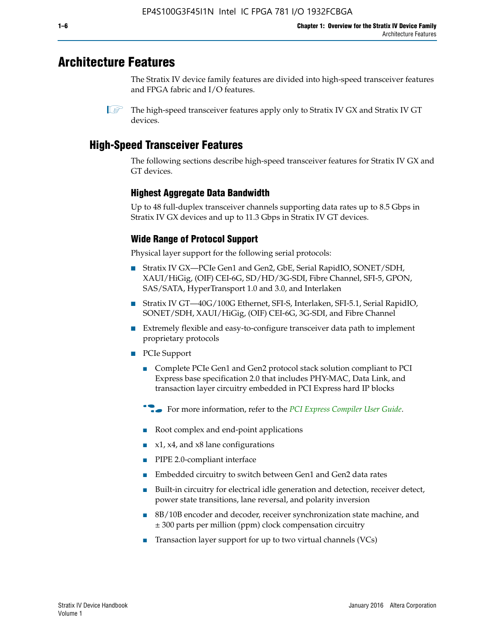# **Architecture Features**

The Stratix IV device family features are divided into high-speed transceiver features and FPGA fabric and I/O features.

 $\mathbb{I}$  The high-speed transceiver features apply only to Stratix IV GX and Stratix IV GT devices.

# **High-Speed Transceiver Features**

The following sections describe high-speed transceiver features for Stratix IV GX and GT devices.

## **Highest Aggregate Data Bandwidth**

Up to 48 full-duplex transceiver channels supporting data rates up to 8.5 Gbps in Stratix IV GX devices and up to 11.3 Gbps in Stratix IV GT devices.

# **Wide Range of Protocol Support**

Physical layer support for the following serial protocols:

- Stratix IV GX—PCIe Gen1 and Gen2, GbE, Serial RapidIO, SONET/SDH, XAUI/HiGig, (OIF) CEI-6G, SD/HD/3G-SDI, Fibre Channel, SFI-5, GPON, SAS/SATA, HyperTransport 1.0 and 3.0, and Interlaken
- Stratix IV GT—40G/100G Ethernet, SFI-S, Interlaken, SFI-5.1, Serial RapidIO, SONET/SDH, XAUI/HiGig, (OIF) CEI-6G, 3G-SDI, and Fibre Channel
- Extremely flexible and easy-to-configure transceiver data path to implement proprietary protocols
- PCIe Support
	- Complete PCIe Gen1 and Gen2 protocol stack solution compliant to PCI Express base specification 2.0 that includes PHY-MAC, Data Link, and transaction layer circuitry embedded in PCI Express hard IP blocks
	- **For more information, refer to the [PCI Express Compiler User Guide](http://www.altera.com/literature/ug/ug_pci_express.pdf).**
	- Root complex and end-point applications
	- $x1, x4,$  and  $x8$  lane configurations
	- PIPE 2.0-compliant interface
	- Embedded circuitry to switch between Gen1 and Gen2 data rates
	- Built-in circuitry for electrical idle generation and detection, receiver detect, power state transitions, lane reversal, and polarity inversion
	- 8B/10B encoder and decoder, receiver synchronization state machine, and ± 300 parts per million (ppm) clock compensation circuitry
	- Transaction layer support for up to two virtual channels (VCs)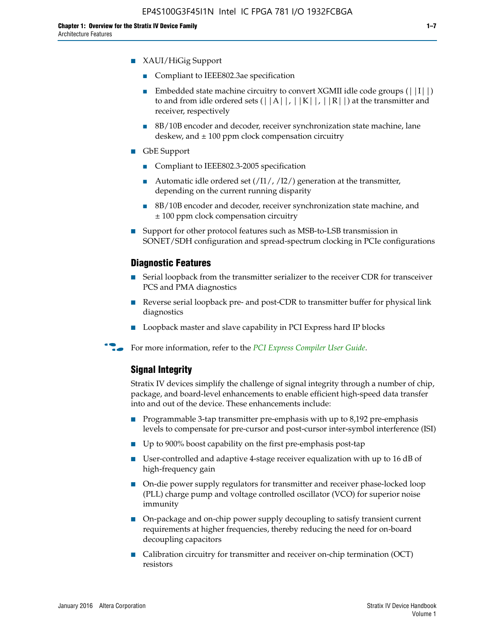- XAUI/HiGig Support
	- Compliant to IEEE802.3ae specification
	- **■** Embedded state machine circuitry to convert XGMII idle code groups  $(|11|)$ to and from idle ordered sets  $(|A|, |K|, |R|)$  at the transmitter and receiver, respectively
	- 8B/10B encoder and decoder, receiver synchronization state machine, lane deskew, and  $\pm$  100 ppm clock compensation circuitry
- GbE Support
	- Compliant to IEEE802.3-2005 specification
	- Automatic idle ordered set  $(111/112/1)$  generation at the transmitter, depending on the current running disparity
	- 8B/10B encoder and decoder, receiver synchronization state machine, and ± 100 ppm clock compensation circuitry
- Support for other protocol features such as MSB-to-LSB transmission in SONET/SDH configuration and spread-spectrum clocking in PCIe configurations

#### **Diagnostic Features**

- Serial loopback from the transmitter serializer to the receiver CDR for transceiver PCS and PMA diagnostics
- Reverse serial loopback pre- and post-CDR to transmitter buffer for physical link diagnostics
- Loopback master and slave capability in PCI Express hard IP blocks
- **For more information, refer to the** *[PCI Express Compiler User Guide](http://www.altera.com/literature/ug/ug_pci_express.pdf)***.**

## **Signal Integrity**

Stratix IV devices simplify the challenge of signal integrity through a number of chip, package, and board-level enhancements to enable efficient high-speed data transfer into and out of the device. These enhancements include:

- Programmable 3-tap transmitter pre-emphasis with up to 8,192 pre-emphasis levels to compensate for pre-cursor and post-cursor inter-symbol interference (ISI)
- Up to 900% boost capability on the first pre-emphasis post-tap
- User-controlled and adaptive 4-stage receiver equalization with up to 16 dB of high-frequency gain
- On-die power supply regulators for transmitter and receiver phase-locked loop (PLL) charge pump and voltage controlled oscillator (VCO) for superior noise immunity
- On-package and on-chip power supply decoupling to satisfy transient current requirements at higher frequencies, thereby reducing the need for on-board decoupling capacitors
- Calibration circuitry for transmitter and receiver on-chip termination (OCT) resistors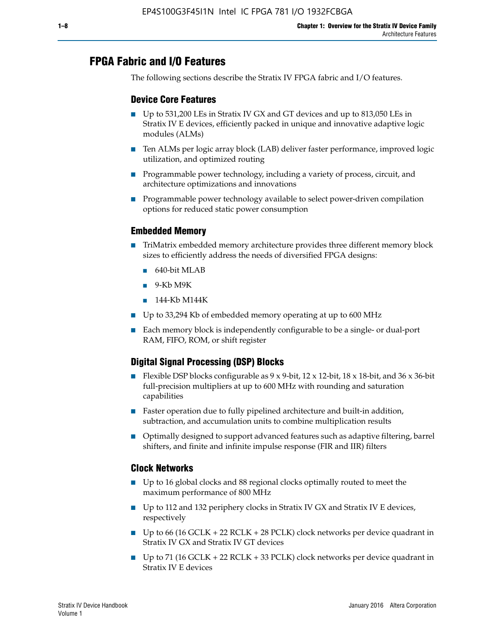# **FPGA Fabric and I/O Features**

The following sections describe the Stratix IV FPGA fabric and I/O features.

## **Device Core Features**

- Up to 531,200 LEs in Stratix IV GX and GT devices and up to 813,050 LEs in Stratix IV E devices, efficiently packed in unique and innovative adaptive logic modules (ALMs)
- Ten ALMs per logic array block (LAB) deliver faster performance, improved logic utilization, and optimized routing
- Programmable power technology, including a variety of process, circuit, and architecture optimizations and innovations
- Programmable power technology available to select power-driven compilation options for reduced static power consumption

## **Embedded Memory**

- TriMatrix embedded memory architecture provides three different memory block sizes to efficiently address the needs of diversified FPGA designs:
	- 640-bit MLAB
	- 9-Kb M9K
	- 144-Kb M144K
- Up to 33,294 Kb of embedded memory operating at up to 600 MHz
- Each memory block is independently configurable to be a single- or dual-port RAM, FIFO, ROM, or shift register

# **Digital Signal Processing (DSP) Blocks**

- Flexible DSP blocks configurable as  $9 \times 9$ -bit,  $12 \times 12$ -bit,  $18 \times 18$ -bit, and  $36 \times 36$ -bit full-precision multipliers at up to 600 MHz with rounding and saturation capabilities
- Faster operation due to fully pipelined architecture and built-in addition, subtraction, and accumulation units to combine multiplication results
- Optimally designed to support advanced features such as adaptive filtering, barrel shifters, and finite and infinite impulse response (FIR and IIR) filters

## **Clock Networks**

- Up to 16 global clocks and 88 regional clocks optimally routed to meet the maximum performance of 800 MHz
- Up to 112 and 132 periphery clocks in Stratix IV GX and Stratix IV E devices, respectively
- Up to 66 (16 GCLK + 22 RCLK + 28 PCLK) clock networks per device quadrant in Stratix IV GX and Stratix IV GT devices
- Up to 71 (16 GCLK + 22 RCLK + 33 PCLK) clock networks per device quadrant in Stratix IV E devices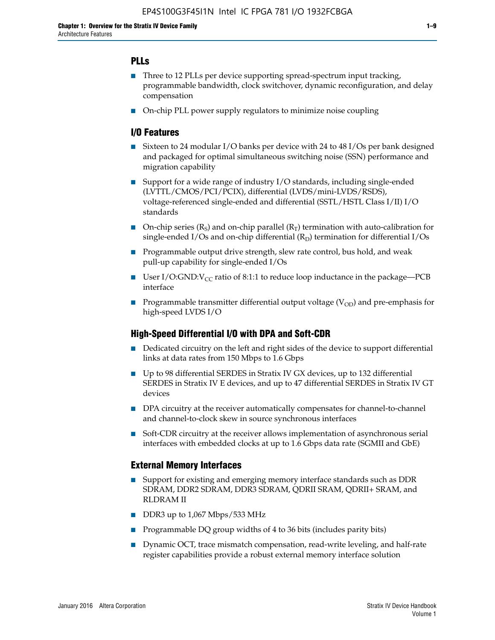## **PLLs**

- Three to 12 PLLs per device supporting spread-spectrum input tracking, programmable bandwidth, clock switchover, dynamic reconfiguration, and delay compensation
- On-chip PLL power supply regulators to minimize noise coupling

## **I/O Features**

- Sixteen to 24 modular I/O banks per device with 24 to 48 I/Os per bank designed and packaged for optimal simultaneous switching noise (SSN) performance and migration capability
- Support for a wide range of industry I/O standards, including single-ended (LVTTL/CMOS/PCI/PCIX), differential (LVDS/mini-LVDS/RSDS), voltage-referenced single-ended and differential (SSTL/HSTL Class I/II) I/O standards
- **O**n-chip series  $(R_S)$  and on-chip parallel  $(R_T)$  termination with auto-calibration for single-ended I/Os and on-chip differential  $(R_D)$  termination for differential I/Os
- Programmable output drive strength, slew rate control, bus hold, and weak pull-up capability for single-ended I/Os
- User I/O:GND: $V_{CC}$  ratio of 8:1:1 to reduce loop inductance in the package—PCB interface
- **■** Programmable transmitter differential output voltage ( $V_{OD}$ ) and pre-emphasis for high-speed LVDS I/O

## **High-Speed Differential I/O with DPA and Soft-CDR**

- Dedicated circuitry on the left and right sides of the device to support differential links at data rates from 150 Mbps to 1.6 Gbps
- Up to 98 differential SERDES in Stratix IV GX devices, up to 132 differential SERDES in Stratix IV E devices, and up to 47 differential SERDES in Stratix IV GT devices
- DPA circuitry at the receiver automatically compensates for channel-to-channel and channel-to-clock skew in source synchronous interfaces
- Soft-CDR circuitry at the receiver allows implementation of asynchronous serial interfaces with embedded clocks at up to 1.6 Gbps data rate (SGMII and GbE)

## **External Memory Interfaces**

- Support for existing and emerging memory interface standards such as DDR SDRAM, DDR2 SDRAM, DDR3 SDRAM, QDRII SRAM, QDRII+ SRAM, and RLDRAM II
- DDR3 up to 1,067 Mbps/533 MHz
- Programmable DQ group widths of 4 to 36 bits (includes parity bits)
- Dynamic OCT, trace mismatch compensation, read-write leveling, and half-rate register capabilities provide a robust external memory interface solution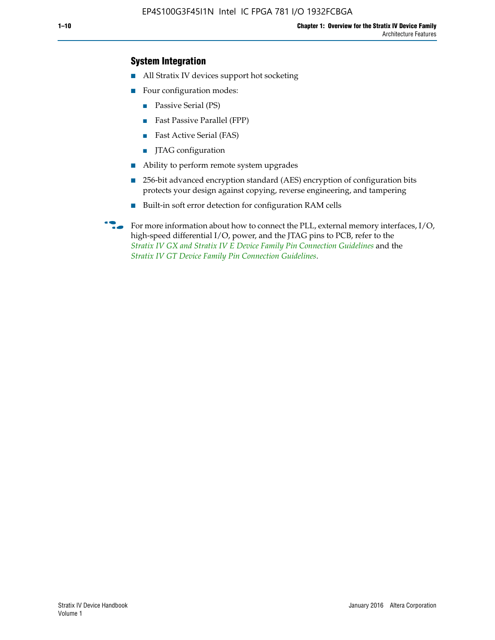## **System Integration**

- All Stratix IV devices support hot socketing
- Four configuration modes:
	- Passive Serial (PS)
	- Fast Passive Parallel (FPP)
	- Fast Active Serial (FAS)
	- JTAG configuration
- Ability to perform remote system upgrades
- 256-bit advanced encryption standard (AES) encryption of configuration bits protects your design against copying, reverse engineering, and tampering
- Built-in soft error detection for configuration RAM cells
- For more information about how to connect the PLL, external memory interfaces,  $I/O$ , high-speed differential I/O, power, and the JTAG pins to PCB, refer to the *[Stratix IV GX and Stratix IV E Device Family Pin Connection Guidelines](http://www.altera.com/literature/dp/stratix4/PCG-01005.pdf)* and the *[Stratix IV GT Device Family Pin Connection Guidelines](http://www.altera.com/literature/dp/stratix4/PCG-01006.pdf)*.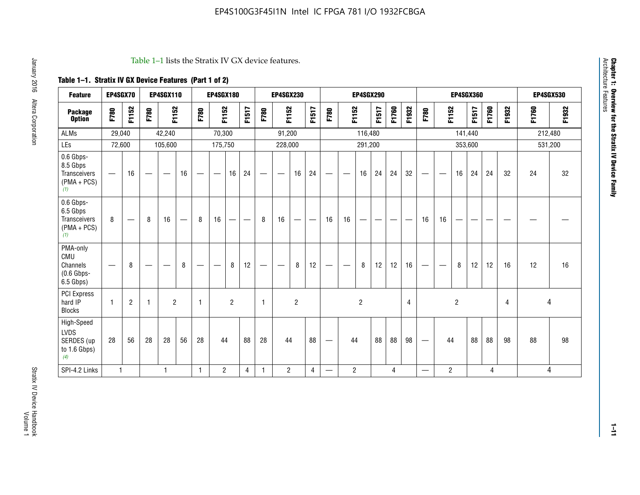#### Table 1–1 lists the Stratix IV GX device features.

# **Table 1–1. Stratix IV GX Device Features (Part 1 of 2)**

| <b>Feature</b>                                                 | EP4SGX70                 |                |                                  | <b>EP4SGX110</b>  |                          |                                | <b>EP4SGX180</b>               |                |       |              | <b>EP4SGX230</b>         |                |       |                   |                | <b>EP4SGX290</b> |       |       |                |                                 |                   | <b>EP4SGX360</b> |         |       |       |         | <b>EP4SGX530</b> |
|----------------------------------------------------------------|--------------------------|----------------|----------------------------------|-------------------|--------------------------|--------------------------------|--------------------------------|----------------|-------|--------------|--------------------------|----------------|-------|-------------------|----------------|------------------|-------|-------|----------------|---------------------------------|-------------------|------------------|---------|-------|-------|---------|------------------|
| <b>Package</b><br><b>Option</b>                                | F780                     | F1152          | F780                             | F1152             |                          | F780                           | F1152                          |                | F1517 | F780         | F1152                    |                | F1517 | F780              | F1152          |                  | F1517 | F1760 | F1932          | F780                            | F1152             |                  | F1517   | F1760 | F1932 | F1760   | F1932            |
| <b>ALMs</b>                                                    | 29,040                   |                |                                  | 42,240            |                          |                                | 70,300                         |                |       |              | 91,200                   |                |       |                   |                | 116,480          |       |       |                |                                 |                   |                  | 141,440 |       |       | 212,480 |                  |
| LEs                                                            | 72,600                   |                |                                  | 105,600           |                          |                                | 175,750                        |                |       |              | 228,000                  |                |       |                   |                | 291,200          |       |       |                |                                 |                   |                  | 353,600 |       |       |         | 531,200          |
| 0.6 Gbps-<br>8.5 Gbps<br>Transceivers<br>$(PMA + PCs)$<br>(1)  | $\overline{\phantom{0}}$ | 16             | $\hspace{0.05cm}$                | $\hspace{0.05cm}$ | 16                       | $\qquad \qquad \longleftarrow$ | $\hspace{0.05cm}$              | 16             | 24    |              | $\overline{\phantom{a}}$ | 16             | 24    | —                 |                | 16               | 24    | 24    | 32             | $\overline{\phantom{0}}$        | $\hspace{0.05cm}$ | 16               | 24      | 24    | 32    | 24      | 32               |
| 0.6 Gbps-<br>6.5 Gbps<br>Transceivers<br>$(PMA + PCs)$<br>(1)  | 8                        |                | 8                                | 16                | $\overline{\phantom{0}}$ | 8                              | 16                             | ÷              |       | 8            | 16                       | —              |       | 16                | 16             |                  |       |       |                | 16                              | 16                |                  |         |       |       |         |                  |
| PMA-only<br>CMU<br>Channels<br>$(0.6$ Gbps-<br>6.5 Gbps)       | $\overline{\phantom{0}}$ | 8              | $\overbrace{\phantom{12322111}}$ |                   | 8                        | $\qquad \qquad \longleftarrow$ | $\qquad \qquad \longleftarrow$ | 8              | 12    |              |                          | 8              | 12    | $\hspace{0.05cm}$ |                | 8                | 12    | 12    | 16             | $\overline{\phantom{0}}$        | $\hspace{0.05cm}$ | 8                | 12      | 12    | 16    | 12      | 16               |
| <b>PCI Express</b><br>hard IP<br><b>Blocks</b>                 | $\mathbf{1}$             | $\overline{2}$ | $\mathbf 1$                      | $\overline{2}$    |                          | $\mathbf{1}$                   |                                | $\overline{2}$ |       | $\mathbf{1}$ |                          | $\overline{c}$ |       |                   |                | $\overline{c}$   |       |       | $\overline{4}$ |                                 |                   | $\overline{2}$   |         |       | 4     |         | 4                |
| High-Speed<br><b>LVDS</b><br>SERDES (up<br>to 1.6 Gbps)<br>(4) | 28                       | 56             | 28                               | 28                | 56                       | 28                             | 44                             |                | 88    | 28           | 44                       |                | 88    | —                 | 44             |                  | 88    | 88    | 98             | $\hspace{0.1mm}-\hspace{0.1mm}$ | 44                |                  | 88      | 88    | 98    | 88      | 98               |
| SPI-4.2 Links                                                  | $\mathbf{1}$             |                |                                  | 1                 |                          | $\mathbf{1}$                   | $\overline{c}$                 |                | 4     | 1            | $\overline{c}$           |                | 4     | —                 | $\overline{2}$ |                  |       | 4     |                | $\overline{\phantom{0}}$        | $\overline{2}$    |                  |         | 4     |       |         | 4                |

Architecture Features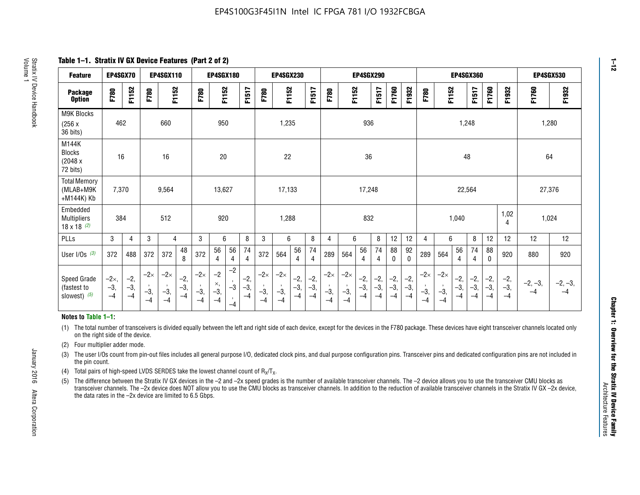**Table 1–1. Stratix IV GX Device Features (Part 2 of 2)**

| <b>Feature</b>                                       | EP4SGX70                |                        |                             | <b>EP4SGX110</b>            |                      |                             | <b>EP4SGX180</b>          |                      |                        |                             | <b>EP4SGX230</b>            |                      |                      |                            |                             | EP4SGX290              |                      |                      |                        |                             |                             |                        | <b>EP4SGX360</b>      |                      |                        | <b>EP4SGX530</b>  |                 |
|------------------------------------------------------|-------------------------|------------------------|-----------------------------|-----------------------------|----------------------|-----------------------------|---------------------------|----------------------|------------------------|-----------------------------|-----------------------------|----------------------|----------------------|----------------------------|-----------------------------|------------------------|----------------------|----------------------|------------------------|-----------------------------|-----------------------------|------------------------|-----------------------|----------------------|------------------------|-------------------|-----------------|
| <b>Package</b><br><b>Option</b>                      | F780                    | F1152                  | F780                        | F1152                       |                      | F780                        | F1152                     |                      | F1517                  | F780                        | F1152                       |                      | F1517                | F780                       | F1152                       |                        | F1517                | F1760                | F1932                  | F780                        | F1152                       |                        | F1517                 | F1760                | F1932                  | F1760             | F1932           |
| M9K Blocks<br>(256x)<br>36 bits)                     | 462                     |                        |                             | 660                         |                      |                             | 950                       |                      |                        |                             | 1,235                       |                      |                      |                            |                             | 936                    |                      |                      |                        |                             |                             | 1,248                  |                       |                      |                        |                   | 1,280           |
| M144K<br><b>Blocks</b><br>(2048 x<br>72 bits)        | 16                      |                        |                             | 16                          |                      |                             | 20                        |                      |                        |                             | 22                          |                      |                      |                            |                             | 36                     |                      |                      |                        |                             |                             | 48                     |                       |                      |                        | 64                |                 |
| <b>Total Memory</b><br>(MLAB+M9K<br>+M144K) Kb       | 7,370                   |                        |                             | 9,564                       |                      |                             | 13,627                    |                      |                        |                             | 17,133                      |                      |                      |                            |                             | 17,248                 |                      |                      |                        |                             |                             | 22,564                 |                       |                      |                        | 27,376            |                 |
| Embedded<br><b>Multipliers</b><br>$18 \times 18$ (2) | 384                     |                        |                             | 512                         |                      |                             | 920                       |                      |                        |                             | 1,288                       |                      |                      |                            |                             | 832                    |                      |                      |                        |                             |                             | 1,040                  |                       |                      | 1,02<br>4              | 1,024             |                 |
| PLLs                                                 | 3                       | $\overline{4}$         | 3                           | 4                           |                      | 3                           | 6                         |                      | 8                      | 3                           | 6                           |                      | 8                    | 4                          | 6                           |                        | 8                    | 12                   | 12                     | 4                           | 6                           |                        | 8                     | 12                   | 12                     | 12                | 12              |
| User $I/Os$ (3)                                      | 372                     | 488                    | 372                         | 372                         | 48<br>8              | 372                         | 56<br>4                   | 56<br>4              | 74<br>4                | 372                         | 564                         | 56<br>$\overline{4}$ | 74<br>$\overline{4}$ | 289                        | 564                         | 56<br>4                | 74<br>4              | 88<br>0              | 92<br>$\mathbf 0$      | 289                         | 564                         | 56<br>4                | 74<br>4               | 88<br>$\mathbf{0}$   | 920                    | 880               | 920             |
| Speed Grade<br>(fastest to<br>slowest) (5)           | $-2x,$<br>$-3,$<br>$-4$ | $-2,$<br>$-3,$<br>$-4$ | $-2\times$<br>$-3,$<br>$-4$ | $-2\times$<br>$-3,$<br>$-4$ | $-2,$<br>-3,<br>$-4$ | $-2\times$<br>$-3,$<br>$-4$ | $-2$<br>×,<br>$-3,$<br>-4 | $-2$<br>$-3$<br>$-4$ | $-2,$<br>$-3,$<br>$-4$ | $-2\times$<br>$-3,$<br>$-4$ | $-2\times$<br>$-3,$<br>$-4$ | $-2,$<br>-3,<br>$-4$ | $-2,$<br>-3,<br>$-4$ | $-2\times$<br>$-3$<br>$-4$ | $-2\times$<br>$-3,$<br>$-4$ | $-2,$<br>$-3,$<br>$-4$ | $-2,$<br>-3,<br>$-4$ | $-2,$<br>-3,<br>$-4$ | $-2,$<br>$-3,$<br>$-4$ | $-2\times$<br>$-3,$<br>$-4$ | $-2\times$<br>$-3,$<br>$-4$ | $-2,$<br>$-3,$<br>$-4$ | $-2,$<br>$-3$<br>$-4$ | $-2,$<br>-3,<br>$-4$ | $-2,$<br>$-3,$<br>$-4$ | $-2, -3,$<br>$-4$ | $-2, -3,$<br>-4 |

#### **Notes to Table 1–1:**

(1) The total number of transceivers is divided equally between the left and right side of each device, except for the devices in the F780 package. These devices have eight transceiver channels located only on the right side of the device.

- (2) Four multiplier adder mode.
- (3) The user I/Os count from pin-out files includes all general purpose I/O, dedicated clock pins, and dual purpose configuration pins. Transceiver pins and dedicated configuration pins are not included in the pin count.
- (4) Total pairs of high-speed LVDS SERDES take the lowest channel count of  $R_X/T_X$ .
- (5) The difference between the Stratix IV GX devices in the –2 and –2x speed grades is the number of available transceiver channels. The –2 device allows you to use the transceiver CMU blocks as transceiver channels. The –2x device does NOT allow you to use the CMU blocks as transceiver channels. In addition to the reduction of available transceiver channels in the Stratix IV GX –2x device, the data rates in the –2x device are limited to 6.5 Gbps.

January 2016 Altera Corporation

Altera Corporation

January 2016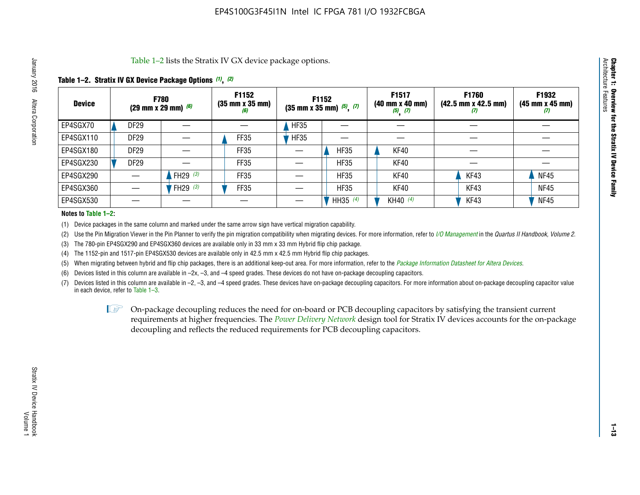Table 1–2 lists the Stratix IV GX device package options.

## **Table 1–2. Stratix IV GX Device Package Options** *(1)***,** *(2)*

| <b>Device</b> | (29 mm x 29 mm) $(6)$ | <b>F780</b>          | F1152<br>$(35 \, \text{mm} \times 35 \, \text{mm})$<br>(6) |             | <b>F1152</b><br>$(35$ mm x 35 mm) $(5)$ , $(7)$ | F1517<br>(40 mm x 40 mm)<br>$(5)$ $(7)$ | <b>F1760</b><br>$(42.5 \text{ mm} \times 42.5 \text{ mm})$<br>W | F1932<br>$(45 \, \text{mm} \times 45 \, \text{mm})$<br>$\boldsymbol{v}$ |
|---------------|-----------------------|----------------------|------------------------------------------------------------|-------------|-------------------------------------------------|-----------------------------------------|-----------------------------------------------------------------|-------------------------------------------------------------------------|
| EP4SGX70      | DF <sub>29</sub>      |                      |                                                            | <b>HF35</b> |                                                 |                                         |                                                                 |                                                                         |
| EP4SGX110     | <b>DF29</b>           |                      | FF35                                                       | <b>HF35</b> |                                                 |                                         |                                                                 |                                                                         |
| EP4SGX180     | DF29                  |                      | FF35                                                       |             | <b>HF35</b>                                     | KF40                                    |                                                                 |                                                                         |
| EP4SGX230     | <b>DF29</b>           |                      | FF35                                                       |             | <b>HF35</b>                                     | KF40                                    |                                                                 |                                                                         |
| EP4SGX290     |                       | FH29 $(3)$           | FF35                                                       |             | <b>HF35</b>                                     | KF40                                    | KF43                                                            | <b>NF45</b>                                                             |
| EP4SGX360     |                       | 'FH29 <sup>(3)</sup> | FF35                                                       |             | <b>HF35</b>                                     | KF40                                    | KF43                                                            | <b>NF45</b>                                                             |
| EP4SGX530     |                       |                      |                                                            |             | HH35 $(4)$                                      | KH40 (4)                                | KF43                                                            | <b>NF45</b>                                                             |

#### **Notes to Table 1–2:**

(1) Device packages in the same column and marked under the same arrow sign have vertical migration capability.

(2) Use the Pin Migration Viewer in the Pin Planner to verify the pin migration compatibility when migrating devices. For more information, refer to *[I/O Management](http://www.altera.com/literature/hb/qts/qts_qii52013.pdf)* in the *Quartus II Handbook, Volume 2*.

(3) The 780-pin EP4SGX290 and EP4SGX360 devices are available only in 33 mm x 33 mm Hybrid flip chip package.

(4) The 1152-pin and 1517-pin EP4SGX530 devices are available only in 42.5 mm x 42.5 mm Hybrid flip chip packages.

(5) When migrating between hybrid and flip chip packages, there is an additional keep-out area. For more information, refer to the *[Package Information Datasheet for Altera Devices](http://www.altera.com/literature/ds/dspkg.pdf)*.

(6) Devices listed in this column are available in –2x, –3, and –4 speed grades. These devices do not have on-package decoupling capacitors.

(7) Devices listed in this column are available in –2, –3, and –4 speed grades. These devices have on-package decoupling capacitors. For more information about on-package decoupling capacitor value in each device, refer to Table 1–3.

 $\mathbb{L}$ s On-package decoupling reduces the need for on-board or PCB decoupling capacitors by satisfying the transient current requirements at higher frequencies. The *[Power Delivery Network](http://www.altera.com/literature/ug/pdn_tool_stxiv.zip)* design tool for Stratix IV devices accounts for the on-package decoupling and reflects the reduced requirements for PCB decoupling capacitors.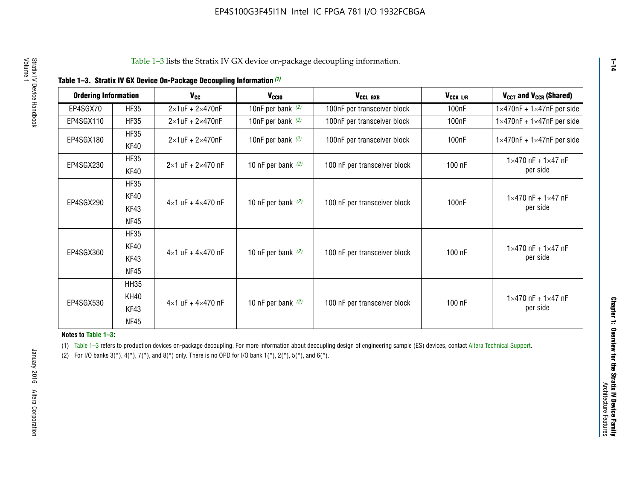| <b>Ordering Information</b> |                     | <b>V<sub>cc</sub></b>               | V <sub>ccio</sub>    | V <sub>CCL GXB</sub>         | V <sub>CCA_L/R</sub> | V <sub>CCT</sub> and V <sub>CCR</sub> (Shared)   |
|-----------------------------|---------------------|-------------------------------------|----------------------|------------------------------|----------------------|--------------------------------------------------|
| EP4SGX70                    | <b>HF35</b>         | $2\times1$ uF + $2\times470$ nF     | 10nF per bank $(2)$  | 100nF per transceiver block  | 100 <sub>n</sub> F   | $1 \times 470$ nF + $1 \times 47$ nF per side    |
| EP4SGX110                   | <b>HF35</b>         | $2\times1$ uF + $2\times470$ nF     | 10nF per bank $(2)$  | 100nF per transceiver block  | 100 <sub>n</sub> F   | $1\times470$ nF + $1\times47$ nF per side        |
| EP4SGX180                   | <b>HF35</b><br>KF40 | $2\times1$ uF + $2\times470$ nF     | 10nF per bank $(2)$  | 100nF per transceiver block  | 100 <sub>n</sub> F   | $1 \times 470$ nF + $1 \times 47$ nF per side    |
| EP4SGX230                   | <b>HF35</b><br>KF40 | $2 \times 1$ uF + $2 \times 470$ nF | 10 nF per bank $(2)$ | 100 nF per transceiver block | 100 nF               | $1 \times 470$ nF + $1 \times 47$ nF<br>per side |
|                             | <b>HF35</b><br>KF40 |                                     |                      |                              |                      | $1 \times 470$ nF + $1 \times 47$ nF             |
| EP4SGX290                   | KF43<br><b>NF45</b> | $4 \times 1$ uF + $4 \times 470$ nF | 10 nF per bank $(2)$ | 100 nF per transceiver block | 100nF                | per side                                         |
|                             | <b>HF35</b><br>KF40 |                                     |                      |                              |                      | $1 \times 470$ nF + $1 \times 47$ nF             |
| EP4SGX360                   | KF43<br><b>NF45</b> | $4 \times 1$ uF + $4 \times 470$ nF | 10 nF per bank $(2)$ | 100 nF per transceiver block | 100 nF               | per side                                         |
|                             | <b>HH35</b>         |                                     |                      |                              |                      |                                                  |
| EP4SGX530                   | <b>KH40</b><br>KF43 | $4 \times 1$ uF + $4 \times 470$ nF | 10 nF per bank $(2)$ | 100 nF per transceiver block | 100 nF               | $1 \times 470$ nF + $1 \times 47$ nF<br>per side |
| <b>NF45</b>                 |                     |                                     |                      |                              |                      |                                                  |

**Notes to Table 1–3:**

(1) Table 1-3 refers to production devices on-package decoupling. For more information about decoupling design of engineering sample (ES) devices, contact [Altera Technical Support](http://mysupport.altera.com/eservice/login.asp).

(2) For I/O banks  $3(*)$ ,  $4(*)$ ,  $7(*)$ , and  $8(*)$  only. There is no OPD for I/O bank  $1(*)$ ,  $2(*)$ ,  $5(*)$ , and  $6(*)$ .

**1–14**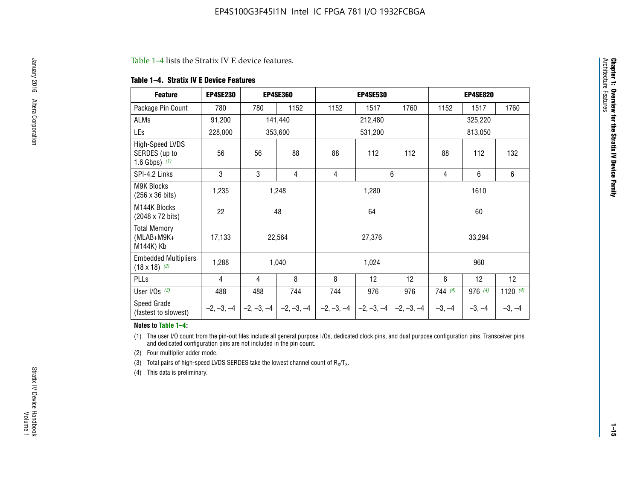#### Table 1–4 lists the Stratix IV E device features.

#### **Table 1–4. Stratix IV E Device Features**

| <b>Feature</b>                                      | <b>EP4SE230</b> |     | <b>EP4SE360</b>                        |              | <b>EP4SE530</b> |              |          | <b>EP4SE820</b> |            |
|-----------------------------------------------------|-----------------|-----|----------------------------------------|--------------|-----------------|--------------|----------|-----------------|------------|
| Package Pin Count                                   | 780             | 780 | 1152                                   | 1152         | 1517            | 1760         | 1152     | 1517            | 1760       |
| ALMs                                                | 91,200          |     | 141,440                                |              | 212,480         |              |          | 325,220         |            |
| LEs                                                 | 228,000         |     | 353,600                                |              | 531,200         |              |          | 813,050         |            |
| High-Speed LVDS<br>SERDES (up to<br>1.6 Gbps) $(1)$ | 56              | 56  | 88                                     | 88           | 112             | 112          | 88       | 112             | 132        |
| SPI-4.2 Links                                       | 3               | 3   | 4                                      | 4            |                 | 6            | 4        | 6               | 6          |
| <b>M9K Blocks</b><br>(256 x 36 bits)                | 1,235           |     | 1,248                                  |              | 1,280           |              |          | 1610            |            |
| M144K Blocks<br>(2048 x 72 bits)                    | 22              |     | 48                                     |              | 64              |              |          | 60              |            |
| <b>Total Memory</b><br>$(MLAB+M9K+$<br>M144K) Kb    | 17,133          |     | 22,564                                 |              | 27,376          |              |          | 33,294          |            |
| <b>Embedded Multipliers</b><br>$(18 \times 18)$ (2) | 1,288           |     | 1,040                                  |              | 1,024           |              |          | 960             |            |
| PLLs                                                | 4               | 4   | 8                                      | 8            | 12              | 12           | 8        | 12              | 12         |
| User I/Os $(3)$                                     | 488             | 488 | 744                                    | 744          | 976             | 976          | 744(4)   | 976 (4)         | 1120 $(4)$ |
| Speed Grade<br>(fastest to slowest)                 |                 |     | $-2, -3, -4$ $-2, -3, -4$ $-2, -3, -4$ | $-2, -3, -4$ | $-2, -3, -4$    | $-2, -3, -4$ | $-3, -4$ | $-3, -4$        | $-3, -4$   |

#### **Notes to Table 1–4:**

(1) The user I/O count from the pin-out files include all general purpose I/Os, dedicated clock pins, and dual purpose configuration pins. Transceiver pins and dedicated configuration pins are not included in the pin count.

(2) Four multiplier adder mode.

(3) Total pairs of high-speed LVDS SERDES take the lowest channel count of  $R_X/T_X$ .

(4) This data is preliminary.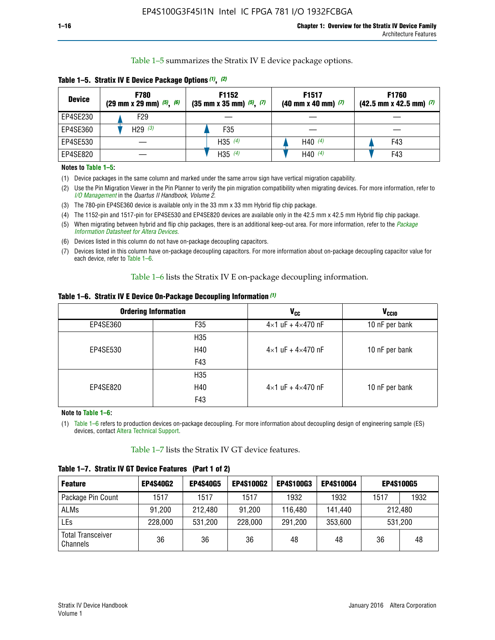Table 1–5 summarizes the Stratix IV E device package options.

| <b>Device</b> | <b>F780</b><br>$(29 \text{ mm} \times 29 \text{ mm})$ $(5)$ , $(6)$ | F1152<br>$(35 \text{ mm} \times 35 \text{ mm})$ $(5)$ $(7)$ | F <sub>1517</sub><br>$(40 \text{ mm} \times 40 \text{ mm})$ (7) | <b>F1760</b><br>$(42.5$ mm x 42.5 mm) $(7)$ |  |  |
|---------------|---------------------------------------------------------------------|-------------------------------------------------------------|-----------------------------------------------------------------|---------------------------------------------|--|--|
| EP4SE230      | F <sub>29</sub>                                                     |                                                             |                                                                 |                                             |  |  |
| EP4SE360      | H29 $(3)$                                                           | F35                                                         |                                                                 |                                             |  |  |
| EP4SE530      |                                                                     | H35 $(4)$                                                   | H40 $(4)$                                                       | F43                                         |  |  |
| EP4SE820      |                                                                     | H35 $(4)$                                                   | H40 $(4)$                                                       | F43                                         |  |  |

**Table 1–5. Stratix IV E Device Package Options** *(1)***,** *(2)*

#### **Notes to Table 1–5:**

(1) Device packages in the same column and marked under the same arrow sign have vertical migration capability.

(2) Use the Pin Migration Viewer in the Pin Planner to verify the pin migration compatibility when migrating devices. For more information, refer to *[I/O Management](http://www.altera.com/literature/hb/qts/qts_qii52013.pdf)* in the *Quartus II Handbook, Volume 2*.

(3) The 780-pin EP4SE360 device is available only in the 33 mm x 33 mm Hybrid flip chip package.

(4) The 1152-pin and 1517-pin for EP4SE530 and EP4SE820 devices are available only in the 42.5 mm x 42.5 mm Hybrid flip chip package.

(5) When migrating between hybrid and flip chip packages, there is an additional keep-out area. For more information, refer to the *[Package](http://www.altera.com/literature/ds/dspkg.pdf)  [Information Datasheet for Altera Devices](http://www.altera.com/literature/ds/dspkg.pdf)*.

(6) Devices listed in this column do not have on-package decoupling capacitors.

(7) Devices listed in this column have on-package decoupling capacitors. For more information about on-package decoupling capacitor value for each device, refer to Table 1–6.

Table 1–6 lists the Stratix IV E on-package decoupling information.

| Table 1–6. Stratix IV E Device On-Package Decoupling Information (1) |  |  |  |  |  |
|----------------------------------------------------------------------|--|--|--|--|--|
|----------------------------------------------------------------------|--|--|--|--|--|

|          | <b>Ordering Information</b> | <b>V<sub>cc</sub></b>               | <b>V<sub>CCIO</sub></b> |
|----------|-----------------------------|-------------------------------------|-------------------------|
| EP4SE360 | F <sub>35</sub>             | $4 \times 1$ uF + $4 \times 470$ nF | 10 nF per bank          |
|          | H <sub>35</sub>             |                                     |                         |
| EP4SE530 | H40                         | $4 \times 1$ uF + $4 \times 470$ nF | 10 nF per bank          |
|          | F43                         |                                     |                         |
|          | H <sub>35</sub>             |                                     |                         |
| EP4SE820 | H40                         | $4 \times 1$ uF + $4 \times 470$ nF | 10 nF per bank          |
|          | F43                         |                                     |                         |

**Note to Table 1–6:**

(1) Table 1–6 refers to production devices on-package decoupling. For more information about decoupling design of engineering sample (ES) devices, contact [Altera Technical Support](http://mysupport.altera.com/eservice/login.asp).

Table 1–7 lists the Stratix IV GT device features.

| <b>Feature</b>                       | <b>EP4S40G2</b> | <b>EP4S40G5</b> | <b>EP4S100G2</b> | <b>EP4S100G3</b> | <b>EP4S100G4</b> |      | <b>EP4S100G5</b> |
|--------------------------------------|-----------------|-----------------|------------------|------------------|------------------|------|------------------|
| Package Pin Count                    | 1517            | 1517            | 1517             | 1932             | 1932             | 1517 | 1932             |
| <b>ALMs</b>                          | 91,200          | 212,480         | 91,200           | 116,480          | 141,440          |      | 212.480          |
| LEs                                  | 228,000         | 531,200         | 228,000          | 291,200          | 353,600          |      | 531,200          |
| <b>Total Transceiver</b><br>Channels | 36              | 36              | 36               | 48               | 48               | 36   | 48               |

**Table 1–7. Stratix IV GT Device Features (Part 1 of 2)**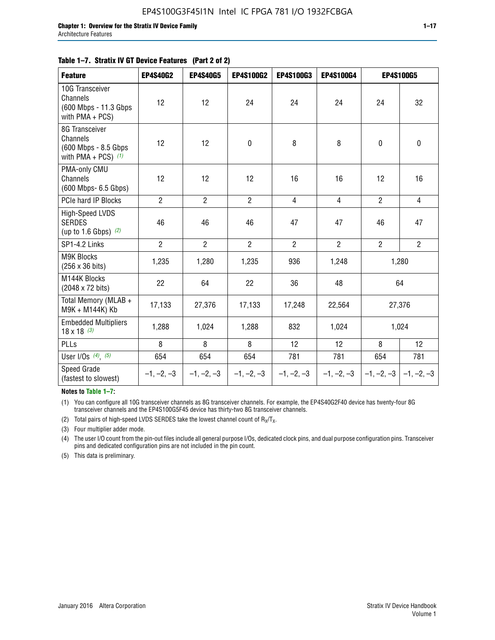| <b>Feature</b>                                                              | <b>EP4S40G2</b> | <b>EP4S40G5</b> | <b>EP4S100G2</b> | <b>EP4S100G3</b> | <b>EP4S100G4</b> |                           | <b>EP4S100G5</b> |
|-----------------------------------------------------------------------------|-----------------|-----------------|------------------|------------------|------------------|---------------------------|------------------|
| 10G Transceiver<br>Channels<br>(600 Mbps - 11.3 Gbps)<br>with $PMA + PCS$ ) | 12              | 12              | 24               | 24               | 24               | 24                        | 32               |
| 8G Transceiver<br>Channels<br>(600 Mbps - 8.5 Gbps<br>with PMA + PCS) $(1)$ | 12              | 12              | $\pmb{0}$        | 8                | 8                | $\mathbf 0$               | 0                |
| PMA-only CMU<br>Channels<br>(600 Mbps- 6.5 Gbps)                            | 12              | 12              | 12               | 16               | 16               | 12                        | 16               |
| PCIe hard IP Blocks                                                         | $\overline{2}$  | $\overline{2}$  | $\overline{2}$   | $\overline{4}$   | $\overline{4}$   | $\overline{2}$            | $\overline{4}$   |
| <b>High-Speed LVDS</b><br><b>SERDES</b><br>(up to 1.6 Gbps) $(2)$           | 46              | 46              | 46               | 47               | 47               | 46                        | 47               |
| SP1-4.2 Links                                                               | $\overline{2}$  | $\overline{2}$  | $\overline{2}$   | $\overline{2}$   | $\overline{2}$   | $\overline{2}$            | $2^{\circ}$      |
| <b>M9K Blocks</b><br>(256 x 36 bits)                                        | 1,235           | 1,280           | 1,235            | 936              | 1,248            |                           | 1,280            |
| M144K Blocks<br>(2048 x 72 bits)                                            | 22              | 64              | 22               | 36               | 48               |                           | 64               |
| Total Memory (MLAB +<br>M9K + M144K) Kb                                     | 17,133          | 27,376          | 17,133           | 17,248           | 22,564           |                           | 27,376           |
| <b>Embedded Multipliers</b><br>$18 \times 18^{(3)}$                         | 1,288           | 1,024           | 1,288            | 832              | 1,024            | 1,024                     |                  |
| PLLs                                                                        | 8               | 8               | 8                | 12               | 12               | 8                         | 12               |
| User I/Os $(4)$ , $(5)$                                                     | 654             | 654             | 654              | 781              | 781              | 654                       | 781              |
| Speed Grade<br>(fastest to slowest)                                         | $-1, -2, -3$    | $-1, -2, -3$    | $-1, -2, -3$     | $-1, -2, -3$     | $-1, -2, -3$     | $-1, -2, -3$ $-1, -2, -3$ |                  |

**Notes to Table 1–7:**

(1) You can configure all 10G transceiver channels as 8G transceiver channels. For example, the EP4S40G2F40 device has twenty-four 8G transceiver channels and the EP4S100G5F45 device has thirty-two 8G transceiver channels.

(2) Total pairs of high-speed LVDS SERDES take the lowest channel count of  $R_X/T_X$ .

(3) Four multiplier adder mode.

(4) The user I/O count from the pin-out files include all general purpose I/Os, dedicated clock pins, and dual purpose configuration pins. Transceiver pins and dedicated configuration pins are not included in the pin count.

(5) This data is preliminary.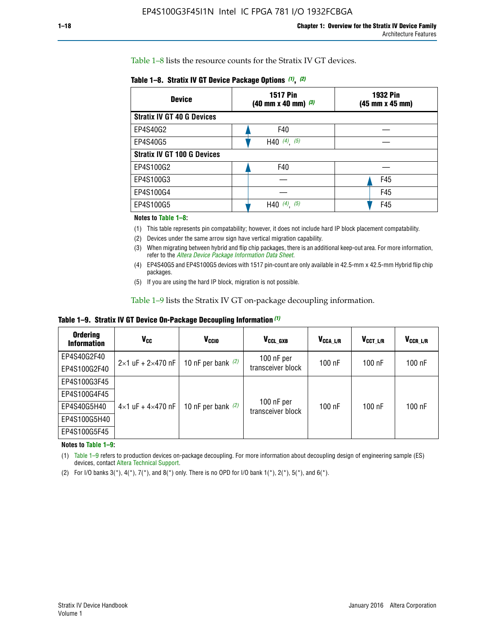Table 1–8 lists the resource counts for the Stratix IV GT devices.

|  | Table 1-8. Stratix IV GT Device Package Options (1), (2) |  |  |  |  |  |
|--|----------------------------------------------------------|--|--|--|--|--|
|--|----------------------------------------------------------|--|--|--|--|--|

| <b>Device</b>                      | <b>1517 Pin</b><br>$(40 \text{ mm} \times 40 \text{ mm})$ $(3)$ | <b>1932 Pin</b><br>(45 mm x 45 mm) |  |
|------------------------------------|-----------------------------------------------------------------|------------------------------------|--|
| <b>Stratix IV GT 40 G Devices</b>  |                                                                 |                                    |  |
| EP4S40G2                           | F40                                                             |                                    |  |
| EP4S40G5                           | H40 $(4)$ , $(5)$                                               |                                    |  |
| <b>Stratix IV GT 100 G Devices</b> |                                                                 |                                    |  |
| EP4S100G2                          | F40                                                             |                                    |  |
| EP4S100G3                          |                                                                 | F45                                |  |
| EP4S100G4                          |                                                                 | F45                                |  |
| EP4S100G5                          | (5)<br>$(4)$ ,<br>H40                                           | F45                                |  |

#### **Notes to Table 1–8:**

(1) This table represents pin compatability; however, it does not include hard IP block placement compatability.

- (2) Devices under the same arrow sign have vertical migration capability.
- (3) When migrating between hybrid and flip chip packages, there is an additional keep-out area. For more information, refer to the *[Altera Device Package Information Data Sheet](http://www.altera.com/literature/ds/dspkg.pdf)*.
- (4) EP4S40G5 and EP4S100G5 devices with 1517 pin-count are only available in 42.5-mm x 42.5-mm Hybrid flip chip packages.
- (5) If you are using the hard IP block, migration is not possible.

Table 1–9 lists the Stratix IV GT on-package decoupling information.

**Table 1–9. Stratix IV GT Device On-Package Decoupling Information** *(1)*

| <b>Ordering</b><br><b>Information</b> | Vcc                                 | <b>V<sub>CCIO</sub></b> | V <sub>CCL GXB</sub>            | V <sub>CCA L/R</sub> | V <sub>CCT L/R</sub> | V <sub>CCR_L/R</sub> |
|---------------------------------------|-------------------------------------|-------------------------|---------------------------------|----------------------|----------------------|----------------------|
| EP4S40G2F40                           | $2 \times 1$ uF + $2 \times 470$ nF | 10 nF per bank $(2)$    | 100 nF per<br>transceiver block | $100$ nF             | $100$ nF             | $100$ nF             |
| EP4S100G2F40                          |                                     |                         |                                 |                      |                      |                      |
| EP4S100G3F45                          |                                     | 10 nF per bank $(2)$    | 100 nF per<br>transceiver block | $100$ nF             | $100$ nF             | $100$ nF             |
| EP4S100G4F45                          |                                     |                         |                                 |                      |                      |                      |
| EP4S40G5H40                           | $4\times1$ uF + $4\times470$ nF     |                         |                                 |                      |                      |                      |
| EP4S100G5H40                          |                                     |                         |                                 |                      |                      |                      |
| EP4S100G5F45                          |                                     |                         |                                 |                      |                      |                      |

**Notes to Table 1–9:**

(1) Table 1–9 refers to production devices on-package decoupling. For more information about decoupling design of engineering sample (ES) devices, contact [Altera Technical Support](http://mysupport.altera.com/eservice/login.asp).

(2) For I/O banks  $3(*)$ ,  $4(*)$ ,  $7(*)$ , and  $8(*)$  only. There is no OPD for I/O bank  $1(*)$ ,  $2(*)$ ,  $5(*)$ , and  $6(*)$ .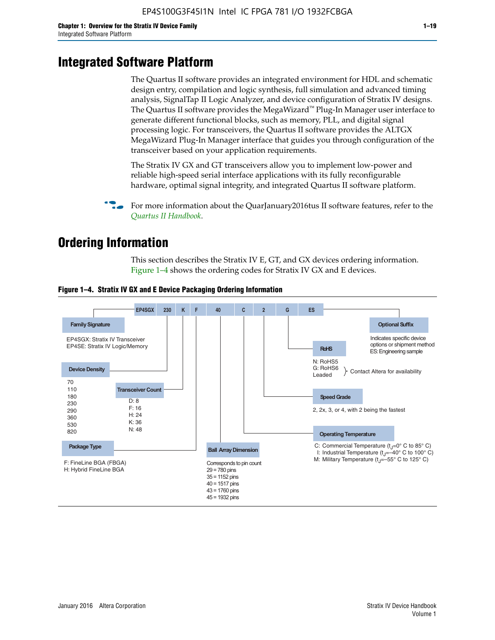# **Integrated Software Platform**

The Quartus II software provides an integrated environment for HDL and schematic design entry, compilation and logic synthesis, full simulation and advanced timing analysis, SignalTap II Logic Analyzer, and device configuration of Stratix IV designs. The Quartus II software provides the MegaWizard<sup> $M$ </sup> Plug-In Manager user interface to generate different functional blocks, such as memory, PLL, and digital signal processing logic. For transceivers, the Quartus II software provides the ALTGX MegaWizard Plug-In Manager interface that guides you through configuration of the transceiver based on your application requirements.

The Stratix IV GX and GT transceivers allow you to implement low-power and reliable high-speed serial interface applications with its fully reconfigurable hardware, optimal signal integrity, and integrated Quartus II software platform.

For more information about the QuarJanuary2016tus II software features, refer to the *[Quartus II Handbook](http://www.altera.com/literature/lit-qts.jsp)*.

# **Ordering Information**

This section describes the Stratix IV E, GT, and GX devices ordering information. Figure 1–4 shows the ordering codes for Stratix IV GX and E devices.



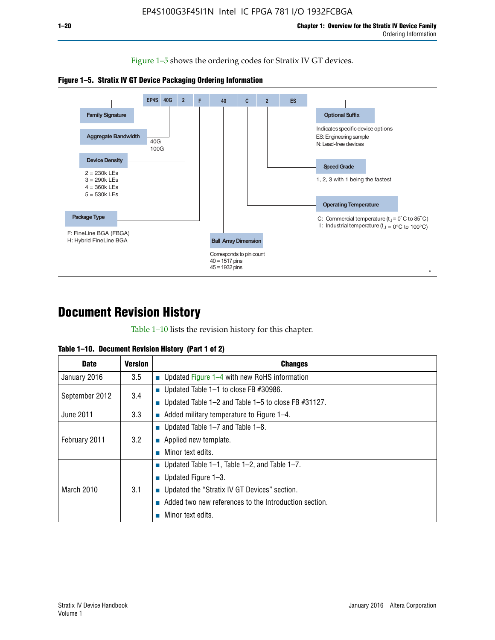Figure 1–5 shows the ordering codes for Stratix IV GT devices.





# **Document Revision History**

Table 1–10 lists the revision history for this chapter.

| <b>Date</b>       | Version | <b>Changes</b>                                         |
|-------------------|---------|--------------------------------------------------------|
| January 2016      | 3.5     | <b>Updated Figure 1–4 with new RoHS information</b>    |
| September 2012    | 3.4     | ■ Updated Table 1–1 to close FB $#30986$ .             |
|                   |         | Updated Table 1–2 and Table 1–5 to close FB $#31127$ . |
| June 2011         | 3.3     | Added military temperature to Figure 1–4.              |
| February 2011     | 3.2     | ■ Updated Table 1–7 and Table 1–8.                     |
|                   |         | $\blacksquare$ Applied new template.                   |
|                   |         | Minor text edits.                                      |
| <b>March 2010</b> | 3.1     | <b>Updated Table 1–1, Table 1–2, and Table 1–7.</b>    |
|                   |         | ■ Updated Figure $1-3$ .                               |
|                   |         | ■ Updated the "Stratix IV GT Devices" section.         |
|                   |         | Added two new references to the Introduction section.  |
|                   |         | Minor text edits.                                      |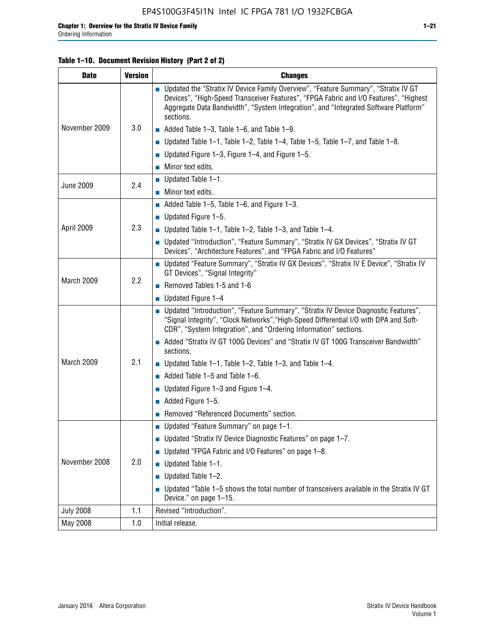# **Table 1–10. Document Revision History (Part 2 of 2)**

| <b>Date</b>      | <b>Version</b> | <b>Changes</b>                                                                                                                                                                                                                                                                    |
|------------------|----------------|-----------------------------------------------------------------------------------------------------------------------------------------------------------------------------------------------------------------------------------------------------------------------------------|
|                  |                | ■ Updated the "Stratix IV Device Family Overview", "Feature Summary", "Stratix IV GT<br>Devices", "High-Speed Transceiver Features", "FPGA Fabric and I/O Features", "Highest<br>Aggregate Data Bandwidth", "System Integration", and "Integrated Software Platform"<br>sections. |
| November 2009    | 3.0            | $\blacksquare$ Added Table 1-3, Table 1-6, and Table 1-9.                                                                                                                                                                                                                         |
|                  |                | Updated Table $1-1$ , Table $1-2$ , Table $1-4$ , Table $1-5$ , Table $1-7$ , and Table $1-8$ .                                                                                                                                                                                   |
|                  |                | ■ Updated Figure 1–3, Figure 1–4, and Figure 1–5.                                                                                                                                                                                                                                 |
|                  |                | $\blacksquare$ Minor text edits.                                                                                                                                                                                                                                                  |
| <b>June 2009</b> | 2.4            | $\blacksquare$ Updated Table 1-1.                                                                                                                                                                                                                                                 |
|                  |                | ■ Minor text edits.                                                                                                                                                                                                                                                               |
|                  |                | Added Table 1–5, Table 1–6, and Figure 1–3.                                                                                                                                                                                                                                       |
|                  |                | ■ Updated Figure $1-5$ .                                                                                                                                                                                                                                                          |
| April 2009       | 2.3            | Updated Table $1-1$ , Table $1-2$ , Table $1-3$ , and Table $1-4$ .                                                                                                                                                                                                               |
|                  |                | ■ Updated "Introduction", "Feature Summary", "Stratix IV GX Devices", "Stratix IV GT<br>Devices", "Architecture Features", and "FPGA Fabric and I/O Features"                                                                                                                     |
|                  | 2.2            | ■ Updated "Feature Summary", "Stratix IV GX Devices", "Stratix IV E Device", "Stratix IV<br>GT Devices", "Signal Integrity"                                                                                                                                                       |
| March 2009       |                | Removed Tables 1-5 and 1-6                                                                                                                                                                                                                                                        |
|                  |                | $\blacksquare$ Updated Figure 1-4                                                                                                                                                                                                                                                 |
|                  |                | ■ Updated "Introduction", "Feature Summary", "Stratix IV Device Diagnostic Features",<br>"Signal Integrity", "Clock Networks", "High-Speed Differential I/O with DPA and Soft-<br>CDR", "System Integration", and "Ordering Information" sections.                                |
|                  |                | Added "Stratix IV GT 100G Devices" and "Stratix IV GT 100G Transceiver Bandwidth"<br>sections.                                                                                                                                                                                    |
| March 2009       | 2.1            | <b>Updated Table 1–1, Table 1–2, Table 1–3, and Table 1–4.</b>                                                                                                                                                                                                                    |
|                  |                | $\blacksquare$ Added Table 1-5 and Table 1-6.                                                                                                                                                                                                                                     |
|                  |                | ■ Updated Figure $1-3$ and Figure $1-4$ .                                                                                                                                                                                                                                         |
|                  |                | $\blacksquare$ Added Figure 1-5.                                                                                                                                                                                                                                                  |
|                  |                | Removed "Referenced Documents" section.                                                                                                                                                                                                                                           |
|                  |                | ■ Updated "Feature Summary" on page 1-1.                                                                                                                                                                                                                                          |
| November 2008    |                | ■ Updated "Stratix IV Device Diagnostic Features" on page 1-7.                                                                                                                                                                                                                    |
|                  |                | Updated "FPGA Fabric and I/O Features" on page 1-8.                                                                                                                                                                                                                               |
|                  | 2.0            | Updated Table 1-1.                                                                                                                                                                                                                                                                |
|                  |                | Updated Table 1-2.<br>П                                                                                                                                                                                                                                                           |
|                  |                | • Updated "Table 1-5 shows the total number of transceivers available in the Stratix IV GT<br>Device." on page 1-15.                                                                                                                                                              |
| <b>July 2008</b> | 1.1            | Revised "Introduction".                                                                                                                                                                                                                                                           |
| May 2008         | 1.0            | Initial release.                                                                                                                                                                                                                                                                  |